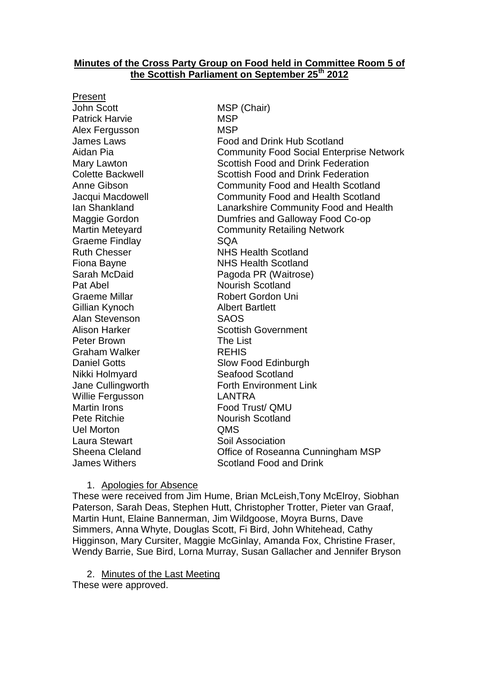## **Minutes of the Cross Party Group on Food held in Committee Room 5 of the Scottish Parliament on September 25th 2012**

Present John Scott MSP (Chair) Patrick Harvie **MSP** Alex Fergusson MSP Graeme Findlay **SQA** Pat Abel Nourish Scotland Graeme Millar Robert Gordon Uni Gillian Kynoch Albert Bartlett Alan Stevenson SAOS Peter Brown The List Graham Walker REHIS Nikki Holmyard Seafood Scotland Willie Fergusson LANTRA Martin Irons **Food Trust**/ QMU Pete Ritchie Nourish Scotland Uel Morton QMS Laura Stewart Soil Association

James Laws Food and Drink Hub Scotland Aidan Pia Community Food Social Enterprise Network Mary Lawton **Scottish Food and Drink Federation** Colette Backwell Scottish Food and Drink Federation Anne Gibson Community Food and Health Scotland Jacqui Macdowell Community Food and Health Scotland Ian Shankland Lanarkshire Community Food and Health Maggie Gordon Dumfries and Galloway Food Co-op Martin Meteyard **Community Retailing Network** Ruth Chesser NHS Health Scotland Fiona Bayne **NHS** Health Scotland Sarah McDaid Pagoda PR (Waitrose) Alison Harker Scottish Government Daniel Gotts Slow Food Edinburgh Jane Cullingworth **Forth Environment Link** Sheena Cleland Office of Roseanna Cunningham MSP James Withers Scotland Food and Drink

1. Apologies for Absence

These were received from Jim Hume, Brian McLeish,Tony McElroy, Siobhan Paterson, Sarah Deas, Stephen Hutt, Christopher Trotter, Pieter van Graaf, Martin Hunt, Elaine Bannerman, Jim Wildgoose, Moyra Burns, Dave Simmers, Anna Whyte, Douglas Scott, Fi Bird, John Whitehead, Cathy Higginson, Mary Cursiter, Maggie McGinlay, Amanda Fox, Christine Fraser, Wendy Barrie, Sue Bird, Lorna Murray, Susan Gallacher and Jennifer Bryson

2. Minutes of the Last Meeting

These were approved.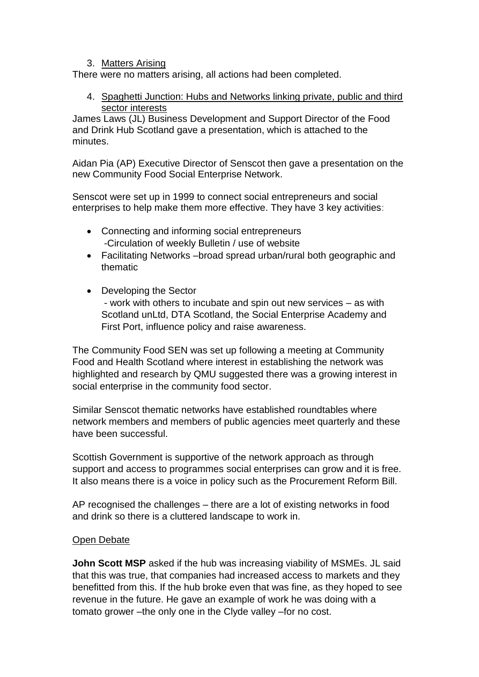## 3. Matters Arising

There were no matters arising, all actions had been completed.

4. Spaghetti Junction: Hubs and Networks linking private, public and third sector interests

James Laws (JL) Business Development and Support Director of the Food and Drink Hub Scotland gave a presentation, which is attached to the minutes.

Aidan Pia (AP) Executive Director of Senscot then gave a presentation on the new Community Food Social Enterprise Network.

Senscot were set up in 1999 to connect social entrepreneurs and social enterprises to help make them more effective. They have 3 key activities:

- Connecting and informing social entrepreneurs -Circulation of weekly Bulletin / use of website
- Facilitating Networks –broad spread urban/rural both geographic and thematic
- Developing the Sector

- work with others to incubate and spin out new services – as with Scotland unLtd, DTA Scotland, the Social Enterprise Academy and First Port, influence policy and raise awareness.

The Community Food SEN was set up following a meeting at Community Food and Health Scotland where interest in establishing the network was highlighted and research by QMU suggested there was a growing interest in social enterprise in the community food sector.

Similar Senscot thematic networks have established roundtables where network members and members of public agencies meet quarterly and these have been successful.

Scottish Government is supportive of the network approach as through support and access to programmes social enterprises can grow and it is free. It also means there is a voice in policy such as the Procurement Reform Bill.

AP recognised the challenges – there are a lot of existing networks in food and drink so there is a cluttered landscape to work in.

## Open Debate

**John Scott MSP** asked if the hub was increasing viability of MSMEs. JL said that this was true, that companies had increased access to markets and they benefitted from this. If the hub broke even that was fine, as they hoped to see revenue in the future. He gave an example of work he was doing with a tomato grower –the only one in the Clyde valley –for no cost.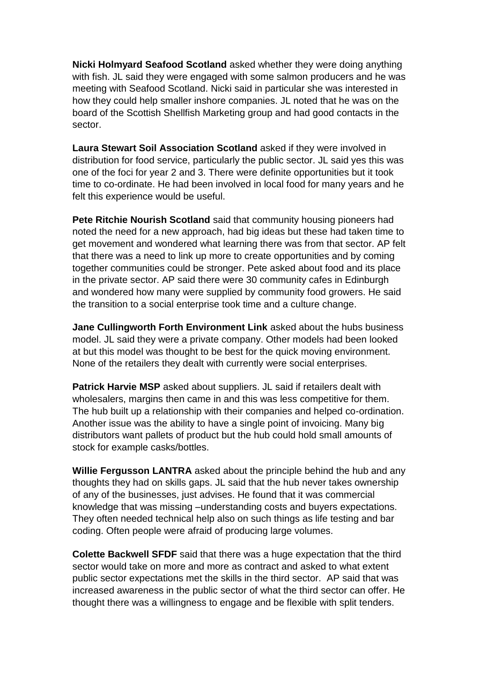**Nicki Holmyard Seafood Scotland** asked whether they were doing anything with fish. JL said they were engaged with some salmon producers and he was meeting with Seafood Scotland. Nicki said in particular she was interested in how they could help smaller inshore companies. JL noted that he was on the board of the Scottish Shellfish Marketing group and had good contacts in the sector.

**Laura Stewart Soil Association Scotland** asked if they were involved in distribution for food service, particularly the public sector. JL said yes this was one of the foci for year 2 and 3. There were definite opportunities but it took time to co-ordinate. He had been involved in local food for many years and he felt this experience would be useful.

**Pete Ritchie Nourish Scotland** said that community housing pioneers had noted the need for a new approach, had big ideas but these had taken time to get movement and wondered what learning there was from that sector. AP felt that there was a need to link up more to create opportunities and by coming together communities could be stronger. Pete asked about food and its place in the private sector. AP said there were 30 community cafes in Edinburgh and wondered how many were supplied by community food growers. He said the transition to a social enterprise took time and a culture change.

**Jane Cullingworth Forth Environment Link** asked about the hubs business model. JL said they were a private company. Other models had been looked at but this model was thought to be best for the quick moving environment. None of the retailers they dealt with currently were social enterprises.

**Patrick Harvie MSP** asked about suppliers. JL said if retailers dealt with wholesalers, margins then came in and this was less competitive for them. The hub built up a relationship with their companies and helped co-ordination. Another issue was the ability to have a single point of invoicing. Many big distributors want pallets of product but the hub could hold small amounts of stock for example casks/bottles.

**Willie Fergusson LANTRA** asked about the principle behind the hub and any thoughts they had on skills gaps. JL said that the hub never takes ownership of any of the businesses, just advises. He found that it was commercial knowledge that was missing –understanding costs and buyers expectations. They often needed technical help also on such things as life testing and bar coding. Often people were afraid of producing large volumes.

**Colette Backwell SFDF** said that there was a huge expectation that the third sector would take on more and more as contract and asked to what extent public sector expectations met the skills in the third sector. AP said that was increased awareness in the public sector of what the third sector can offer. He thought there was a willingness to engage and be flexible with split tenders.